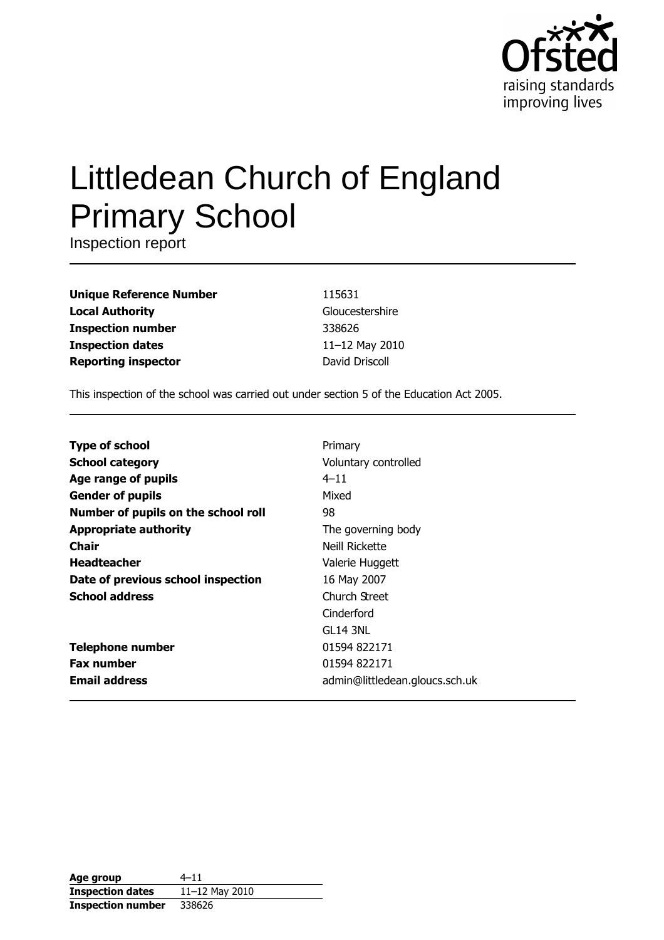

# Littledean Church of England **Primary School**

Inspection report

**Unique Reference Number Local Authority Inspection number Inspection dates Reporting inspector** 

115631 Gloucestershire 338626 11-12 May 2010 David Driscoll

This inspection of the school was carried out under section 5 of the Education Act 2005.

| <b>Type of school</b>               | Primary                        |
|-------------------------------------|--------------------------------|
| <b>School category</b>              | Voluntary controlled           |
| Age range of pupils                 | $4 - 11$                       |
| <b>Gender of pupils</b>             | Mixed                          |
| Number of pupils on the school roll | 98                             |
| <b>Appropriate authority</b>        | The governing body             |
| Chair                               | Neill Rickette                 |
| <b>Headteacher</b>                  | Valerie Huggett                |
| Date of previous school inspection  | 16 May 2007                    |
| <b>School address</b>               | Church Street                  |
|                                     | Cinderford                     |
|                                     | GL 14 3NL                      |
| <b>Telephone number</b>             | 01594 822171                   |
| <b>Fax number</b>                   | 01594 822171                   |
| <b>Email address</b>                | admin@littledean.gloucs.sch.uk |

| Age group                | $4 - 11$       |
|--------------------------|----------------|
| <b>Inspection dates</b>  | 11-12 May 2010 |
| <b>Inspection number</b> | 338626         |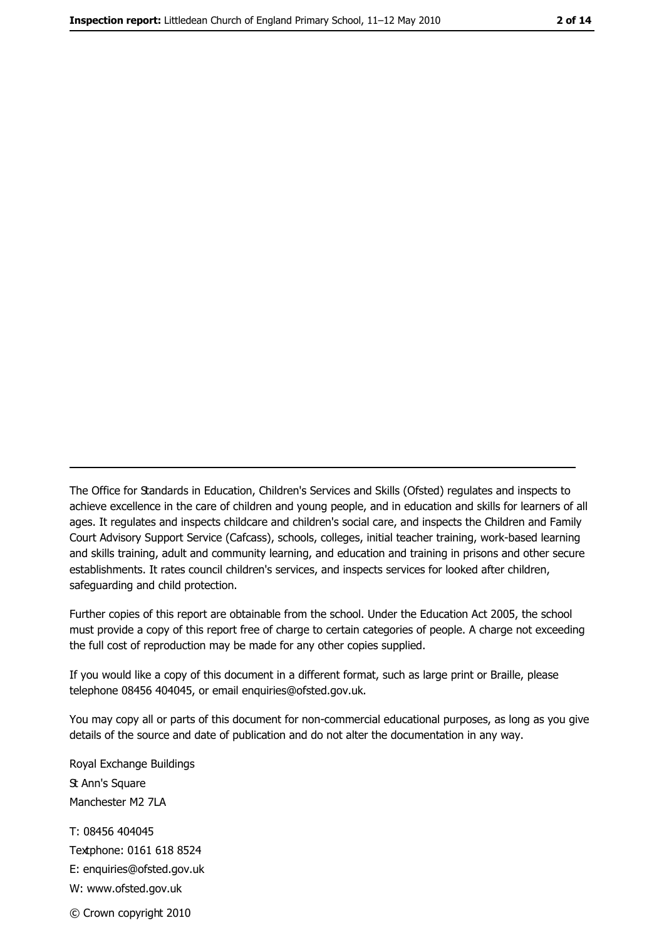The Office for Standards in Education, Children's Services and Skills (Ofsted) regulates and inspects to achieve excellence in the care of children and young people, and in education and skills for learners of all ages. It regulates and inspects childcare and children's social care, and inspects the Children and Family Court Advisory Support Service (Cafcass), schools, colleges, initial teacher training, work-based learning and skills training, adult and community learning, and education and training in prisons and other secure establishments. It rates council children's services, and inspects services for looked after children, safequarding and child protection.

Further copies of this report are obtainable from the school. Under the Education Act 2005, the school must provide a copy of this report free of charge to certain categories of people. A charge not exceeding the full cost of reproduction may be made for any other copies supplied.

If you would like a copy of this document in a different format, such as large print or Braille, please telephone 08456 404045, or email enquiries@ofsted.gov.uk.

You may copy all or parts of this document for non-commercial educational purposes, as long as you give details of the source and date of publication and do not alter the documentation in any way.

Royal Exchange Buildings **St Ann's Square** Manchester M2 7LA T: 08456 404045 Textphone: 0161 618 8524 E: enquiries@ofsted.gov.uk W: www.ofsted.gov.uk

© Crown copyright 2010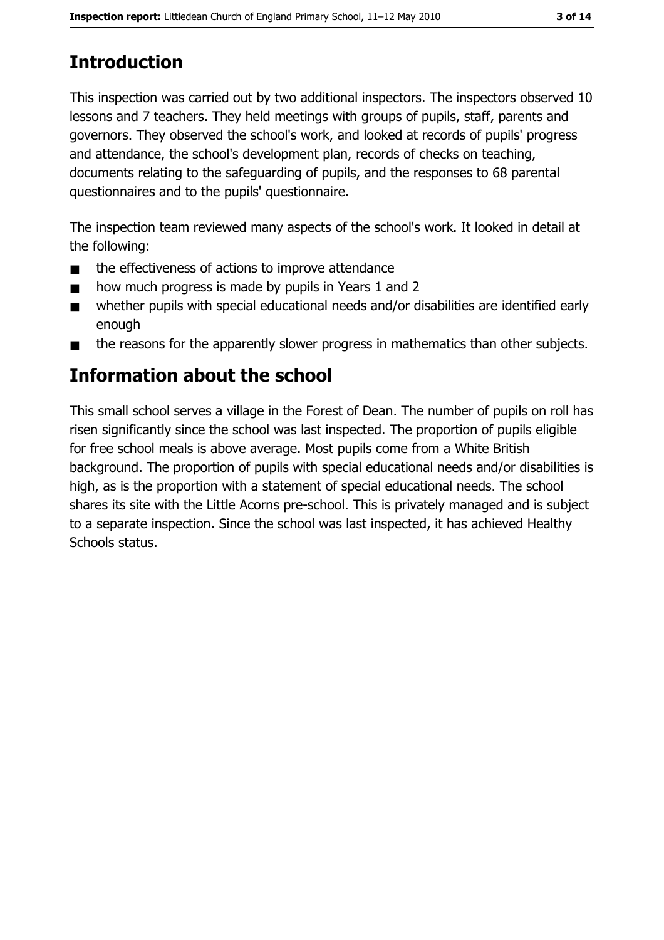# **Introduction**

This inspection was carried out by two additional inspectors. The inspectors observed 10 lessons and 7 teachers. They held meetings with groups of pupils, staff, parents and governors. They observed the school's work, and looked at records of pupils' progress and attendance, the school's development plan, records of checks on teaching, documents relating to the safeguarding of pupils, and the responses to 68 parental questionnaires and to the pupils' questionnaire.

The inspection team reviewed many aspects of the school's work. It looked in detail at the following:

- the effectiveness of actions to improve attendance  $\blacksquare$
- how much progress is made by pupils in Years 1 and 2  $\blacksquare$
- whether pupils with special educational needs and/or disabilities are identified early  $\blacksquare$ enough
- the reasons for the apparently slower progress in mathematics than other subjects.  $\blacksquare$

# Information about the school

This small school serves a village in the Forest of Dean. The number of pupils on roll has risen significantly since the school was last inspected. The proportion of pupils eligible for free school meals is above average. Most pupils come from a White British background. The proportion of pupils with special educational needs and/or disabilities is high, as is the proportion with a statement of special educational needs. The school shares its site with the Little Acorns pre-school. This is privately managed and is subject to a separate inspection. Since the school was last inspected, it has achieved Healthy Schools status.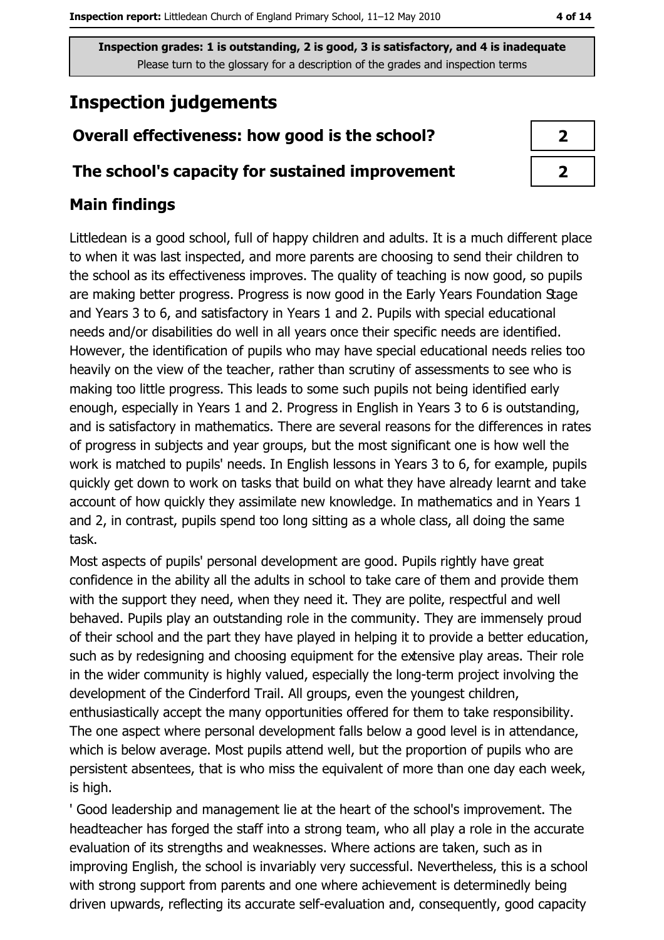# **Inspection judgements**

# Overall effectiveness: how good is the school?

## The school's capacity for sustained improvement

# **Main findings**

Littledean is a good school, full of happy children and adults. It is a much different place to when it was last inspected, and more parents are choosing to send their children to the school as its effectiveness improves. The quality of teaching is now good, so pupils are making better progress. Progress is now good in the Early Years Foundation Stage and Years 3 to 6, and satisfactory in Years 1 and 2. Pupils with special educational needs and/or disabilities do well in all years once their specific needs are identified. However, the identification of pupils who may have special educational needs relies too heavily on the view of the teacher, rather than scrutiny of assessments to see who is making too little progress. This leads to some such pupils not being identified early enough, especially in Years 1 and 2. Progress in English in Years 3 to 6 is outstanding, and is satisfactory in mathematics. There are several reasons for the differences in rates of progress in subjects and year groups, but the most significant one is how well the work is matched to pupils' needs. In English lessons in Years 3 to 6, for example, pupils quickly get down to work on tasks that build on what they have already learnt and take account of how quickly they assimilate new knowledge. In mathematics and in Years 1 and 2, in contrast, pupils spend too long sitting as a whole class, all doing the same task.

Most aspects of pupils' personal development are good. Pupils rightly have great confidence in the ability all the adults in school to take care of them and provide them with the support they need, when they need it. They are polite, respectful and well behaved. Pupils play an outstanding role in the community. They are immensely proud of their school and the part they have played in helping it to provide a better education, such as by redesigning and choosing equipment for the extensive play areas. Their role in the wider community is highly valued, especially the long-term project involving the development of the Cinderford Trail. All groups, even the youngest children, enthusiastically accept the many opportunities offered for them to take responsibility. The one aspect where personal development falls below a good level is in attendance, which is below average. Most pupils attend well, but the proportion of pupils who are persistent absentees, that is who miss the equivalent of more than one day each week, is high.

' Good leadership and management lie at the heart of the school's improvement. The headteacher has forged the staff into a strong team, who all play a role in the accurate evaluation of its strengths and weaknesses. Where actions are taken, such as in improving English, the school is invariably very successful. Nevertheless, this is a school with strong support from parents and one where achievement is determinedly being driven upwards, reflecting its accurate self-evaluation and, consequently, good capacity

| I |
|---|
| ↗ |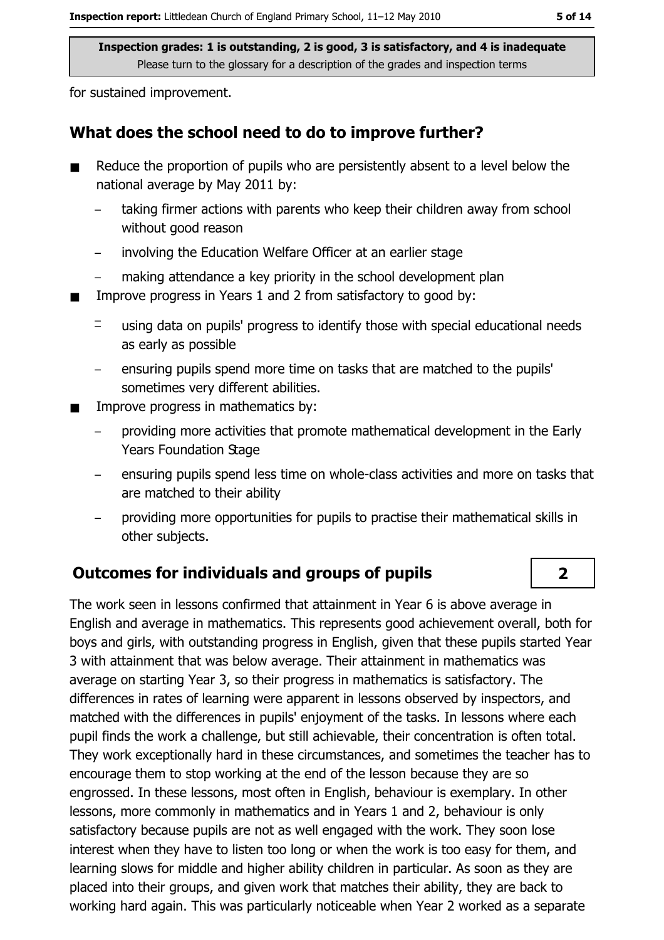for sustained improvement.

### What does the school need to do to improve further?

- Reduce the proportion of pupils who are persistently absent to a level below the national average by May 2011 by:
	- taking firmer actions with parents who keep their children away from school without good reason
	- involving the Education Welfare Officer at an earlier stage  $\overline{\phantom{0}}$
	- making attendance a key priority in the school development plan
- Improve progress in Years 1 and 2 from satisfactory to good by:  $\blacksquare$ 
	- $\equiv$ using data on pupils' progress to identify those with special educational needs as early as possible
	- ensuring pupils spend more time on tasks that are matched to the pupils' sometimes very different abilities.
- Improve progress in mathematics by:  $\blacksquare$ 
	- providing more activities that promote mathematical development in the Early **Years Foundation Stage**
	- ensuring pupils spend less time on whole-class activities and more on tasks that are matched to their ability
	- providing more opportunities for pupils to practise their mathematical skills in  $\equiv$ other subjects.

## **Outcomes for individuals and groups of pupils**

The work seen in lessons confirmed that attainment in Year 6 is above average in English and average in mathematics. This represents good achievement overall, both for boys and girls, with outstanding progress in English, given that these pupils started Year 3 with attainment that was below average. Their attainment in mathematics was average on starting Year 3, so their progress in mathematics is satisfactory. The differences in rates of learning were apparent in lessons observed by inspectors, and matched with the differences in pupils' enjoyment of the tasks. In lessons where each pupil finds the work a challenge, but still achievable, their concentration is often total. They work exceptionally hard in these circumstances, and sometimes the teacher has to encourage them to stop working at the end of the lesson because they are so engrossed. In these lessons, most often in English, behaviour is exemplary. In other lessons, more commonly in mathematics and in Years 1 and 2, behaviour is only satisfactory because pupils are not as well engaged with the work. They soon lose interest when they have to listen too long or when the work is too easy for them, and learning slows for middle and higher ability children in particular. As soon as they are placed into their groups, and given work that matches their ability, they are back to working hard again. This was particularly noticeable when Year 2 worked as a separate

 $2<sup>1</sup>$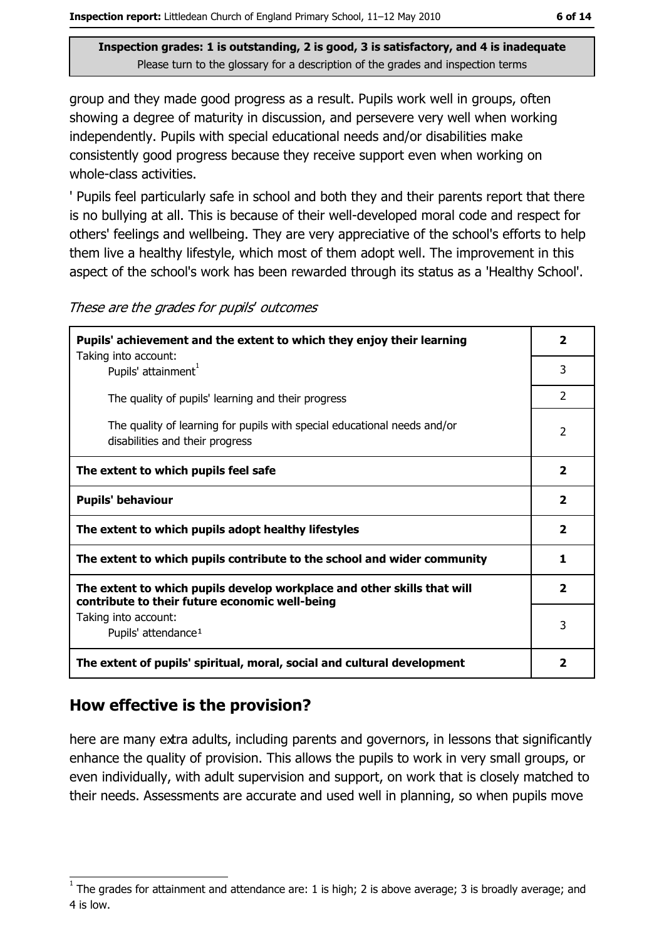group and they made good progress as a result. Pupils work well in groups, often showing a degree of maturity in discussion, and persevere very well when working independently. Pupils with special educational needs and/or disabilities make consistently good progress because they receive support even when working on whole-class activities.

' Pupils feel particularly safe in school and both they and their parents report that there is no bullying at all. This is because of their well-developed moral code and respect for others' feelings and wellbeing. They are very appreciative of the school's efforts to help them live a healthy lifestyle, which most of them adopt well. The improvement in this aspect of the school's work has been rewarded through its status as a 'Healthy School'.

| Pupils' achievement and the extent to which they enjoy their learning                                                     |                         |  |
|---------------------------------------------------------------------------------------------------------------------------|-------------------------|--|
| Taking into account:<br>Pupils' attainment <sup>1</sup>                                                                   | 3                       |  |
| The quality of pupils' learning and their progress                                                                        | $\overline{2}$          |  |
| The quality of learning for pupils with special educational needs and/or<br>disabilities and their progress               | $\overline{2}$          |  |
| The extent to which pupils feel safe                                                                                      | $\overline{2}$          |  |
| <b>Pupils' behaviour</b>                                                                                                  | $\overline{2}$          |  |
| The extent to which pupils adopt healthy lifestyles                                                                       | $\mathbf{2}$            |  |
| The extent to which pupils contribute to the school and wider community                                                   | 1                       |  |
| The extent to which pupils develop workplace and other skills that will<br>contribute to their future economic well-being | $\overline{2}$          |  |
| Taking into account:<br>Pupils' attendance <sup>1</sup>                                                                   | 3                       |  |
| The extent of pupils' spiritual, moral, social and cultural development                                                   | $\overline{\mathbf{2}}$ |  |

These are the grades for pupils' outcomes

# How effective is the provision?

here are many extra adults, including parents and governors, in lessons that significantly enhance the quality of provision. This allows the pupils to work in very small groups, or even individually, with adult supervision and support, on work that is closely matched to their needs. Assessments are accurate and used well in planning, so when pupils move

The grades for attainment and attendance are: 1 is high; 2 is above average; 3 is broadly average; and 4 is low.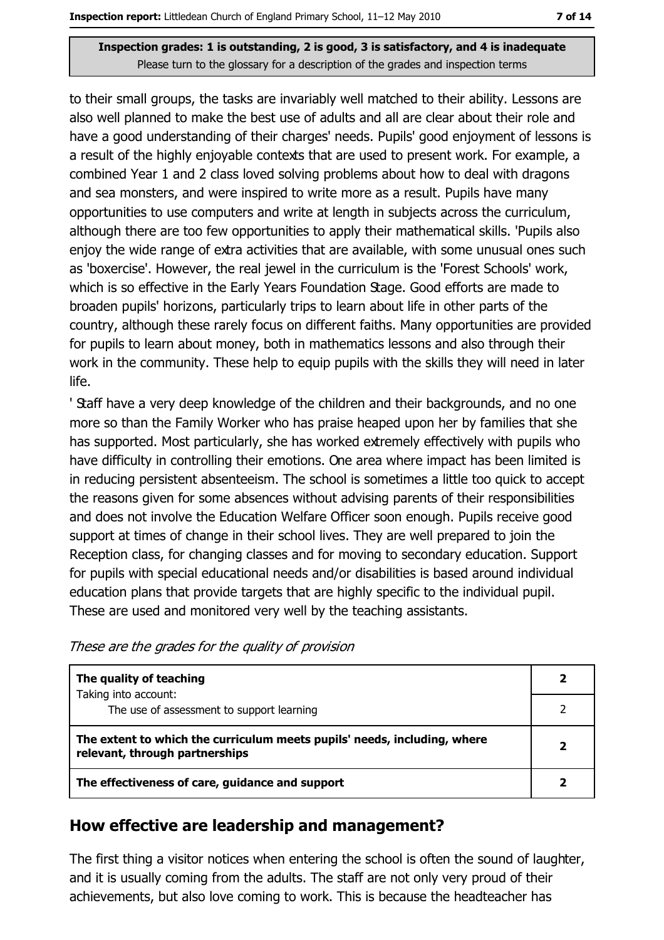to their small groups, the tasks are invariably well matched to their ability. Lessons are also well planned to make the best use of adults and all are clear about their role and have a good understanding of their charges' needs. Pupils' good enjoyment of lessons is a result of the highly enjoyable contexts that are used to present work. For example, a combined Year 1 and 2 class loved solving problems about how to deal with dragons and sea monsters, and were inspired to write more as a result. Pupils have many opportunities to use computers and write at length in subjects across the curriculum, although there are too few opportunities to apply their mathematical skills. 'Pupils also enjoy the wide range of extra activities that are available, with some unusual ones such as 'boxercise'. However, the real jewel in the curriculum is the 'Forest Schools' work, which is so effective in the Early Years Foundation Stage. Good efforts are made to broaden pupils' horizons, particularly trips to learn about life in other parts of the country, although these rarely focus on different faiths. Many opportunities are provided for pupils to learn about money, both in mathematics lessons and also through their work in the community. These help to equip pupils with the skills they will need in later life.

' Staff have a very deep knowledge of the children and their backgrounds, and no one more so than the Family Worker who has praise heaped upon her by families that she has supported. Most particularly, she has worked extremely effectively with pupils who have difficulty in controlling their emotions. One area where impact has been limited is in reducing persistent absenteeism. The school is sometimes a little too quick to accept the reasons given for some absences without advising parents of their responsibilities and does not involve the Education Welfare Officer soon enough. Pupils receive good support at times of change in their school lives. They are well prepared to join the Reception class, for changing classes and for moving to secondary education. Support for pupils with special educational needs and/or disabilities is based around individual education plans that provide targets that are highly specific to the individual pupil. These are used and monitored very well by the teaching assistants.

| These are the grades for the quality of provision |  |  |  |
|---------------------------------------------------|--|--|--|
|                                                   |  |  |  |

| The quality of teaching                                                                                    |  |
|------------------------------------------------------------------------------------------------------------|--|
| Taking into account:<br>The use of assessment to support learning                                          |  |
| The extent to which the curriculum meets pupils' needs, including, where<br>relevant, through partnerships |  |
| The effectiveness of care, guidance and support                                                            |  |

### How effective are leadership and management?

The first thing a visitor notices when entering the school is often the sound of laughter, and it is usually coming from the adults. The staff are not only very proud of their achievements, but also love coming to work. This is because the headteacher has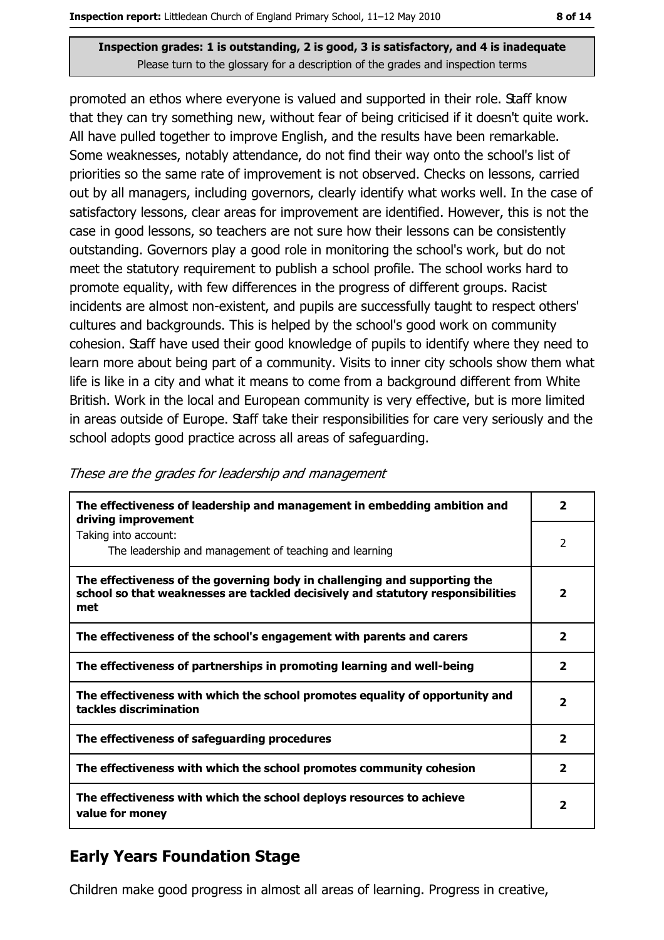promoted an ethos where everyone is valued and supported in their role. Staff know that they can try something new, without fear of being criticised if it doesn't quite work. All have pulled together to improve English, and the results have been remarkable. Some weaknesses, notably attendance, do not find their way onto the school's list of priorities so the same rate of improvement is not observed. Checks on lessons, carried out by all managers, including governors, clearly identify what works well. In the case of satisfactory lessons, clear areas for improvement are identified. However, this is not the case in good lessons, so teachers are not sure how their lessons can be consistently outstanding. Governors play a good role in monitoring the school's work, but do not meet the statutory requirement to publish a school profile. The school works hard to promote equality, with few differences in the progress of different groups. Racist incidents are almost non-existent, and pupils are successfully taught to respect others' cultures and backgrounds. This is helped by the school's good work on community cohesion. Staff have used their good knowledge of pupils to identify where they need to learn more about being part of a community. Visits to inner city schools show them what life is like in a city and what it means to come from a background different from White British. Work in the local and European community is very effective, but is more limited in areas outside of Europe. Staff take their responsibilities for care very seriously and the school adopts good practice across all areas of safeguarding.

| The effectiveness of leadership and management in embedding ambition and<br>driving improvement                                                                     | $\mathbf{2}$             |
|---------------------------------------------------------------------------------------------------------------------------------------------------------------------|--------------------------|
| Taking into account:<br>The leadership and management of teaching and learning                                                                                      | 2                        |
| The effectiveness of the governing body in challenging and supporting the<br>school so that weaknesses are tackled decisively and statutory responsibilities<br>met | $\overline{2}$           |
| The effectiveness of the school's engagement with parents and carers                                                                                                | $\overline{2}$           |
| The effectiveness of partnerships in promoting learning and well-being                                                                                              | $\overline{\mathbf{2}}$  |
| The effectiveness with which the school promotes equality of opportunity and<br>tackles discrimination                                                              | $\overline{\phantom{a}}$ |
| The effectiveness of safeguarding procedures                                                                                                                        | $\overline{\mathbf{2}}$  |
| The effectiveness with which the school promotes community cohesion                                                                                                 | $\overline{2}$           |
| The effectiveness with which the school deploys resources to achieve<br>value for money                                                                             | 2                        |

## **Early Years Foundation Stage**

Children make good progress in almost all areas of learning. Progress in creative,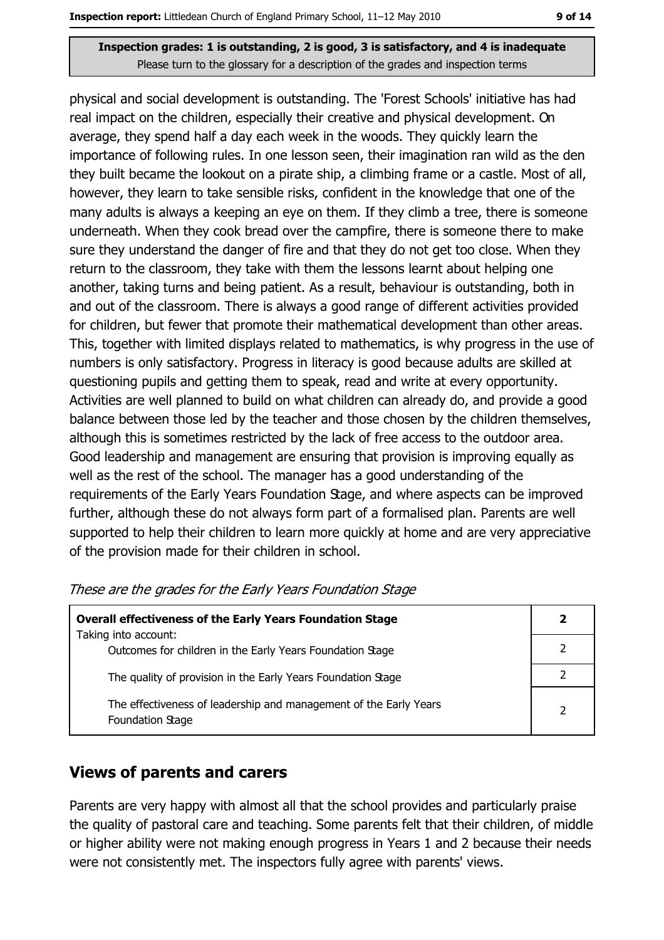physical and social development is outstanding. The 'Forest Schools' initiative has had real impact on the children, especially their creative and physical development. On average, they spend half a day each week in the woods. They quickly learn the importance of following rules. In one lesson seen, their imagination ran wild as the den they built became the lookout on a pirate ship, a climbing frame or a castle. Most of all, however, they learn to take sensible risks, confident in the knowledge that one of the many adults is always a keeping an eye on them. If they climb a tree, there is someone underneath. When they cook bread over the campfire, there is someone there to make sure they understand the danger of fire and that they do not get too close. When they return to the classroom, they take with them the lessons learnt about helping one another, taking turns and being patient. As a result, behaviour is outstanding, both in and out of the classroom. There is always a good range of different activities provided for children, but fewer that promote their mathematical development than other areas. This, together with limited displays related to mathematics, is why progress in the use of numbers is only satisfactory. Progress in literacy is good because adults are skilled at questioning pupils and getting them to speak, read and write at every opportunity. Activities are well planned to build on what children can already do, and provide a good balance between those led by the teacher and those chosen by the children themselves, although this is sometimes restricted by the lack of free access to the outdoor area. Good leadership and management are ensuring that provision is improving equally as well as the rest of the school. The manager has a good understanding of the requirements of the Early Years Foundation Stage, and where aspects can be improved further, although these do not always form part of a formalised plan. Parents are well supported to help their children to learn more quickly at home and are very appreciative of the provision made for their children in school.

| <b>Overall effectiveness of the Early Years Foundation Stage</b>                      |  |
|---------------------------------------------------------------------------------------|--|
| Taking into account:                                                                  |  |
| Outcomes for children in the Early Years Foundation Stage                             |  |
| The quality of provision in the Early Years Foundation Stage                          |  |
|                                                                                       |  |
| The effectiveness of leadership and management of the Early Years<br>Foundation Stage |  |

| These are the grades for the Early Years Foundation Stage |  |  |
|-----------------------------------------------------------|--|--|
|-----------------------------------------------------------|--|--|

#### **Views of parents and carers**

Parents are very happy with almost all that the school provides and particularly praise the quality of pastoral care and teaching. Some parents felt that their children, of middle or higher ability were not making enough progress in Years 1 and 2 because their needs were not consistently met. The inspectors fully agree with parents' views.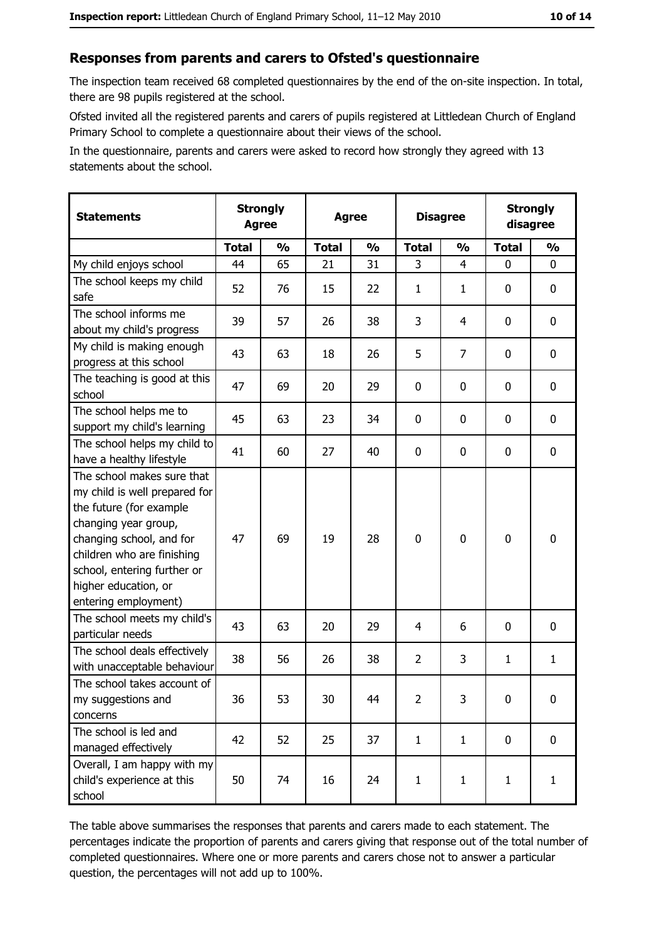#### Responses from parents and carers to Ofsted's questionnaire

The inspection team received 68 completed questionnaires by the end of the on-site inspection. In total, there are 98 pupils registered at the school.

Ofsted invited all the registered parents and carers of pupils registered at Littledean Church of England Primary School to complete a questionnaire about their views of the school.

In the questionnaire, parents and carers were asked to record how strongly they agreed with 13 statements about the school.

| <b>Statements</b>                                                                                                                                                                                                                                       | <b>Agree</b> | <b>Strongly</b> | <b>Agree</b> |               | <b>Disagree</b> |                | <b>Strongly</b><br>disagree |               |
|---------------------------------------------------------------------------------------------------------------------------------------------------------------------------------------------------------------------------------------------------------|--------------|-----------------|--------------|---------------|-----------------|----------------|-----------------------------|---------------|
|                                                                                                                                                                                                                                                         | <b>Total</b> | $\frac{1}{2}$   | <b>Total</b> | $\frac{0}{0}$ | <b>Total</b>    | $\frac{0}{0}$  | <b>Total</b>                | $\frac{1}{2}$ |
| My child enjoys school                                                                                                                                                                                                                                  | 44           | 65              | 21           | 31            | 3               | $\overline{4}$ | $\mathbf{0}$                | 0             |
| The school keeps my child<br>safe                                                                                                                                                                                                                       | 52           | 76              | 15           | 22            | $\mathbf{1}$    | $\mathbf{1}$   | 0                           | $\mathbf 0$   |
| The school informs me<br>about my child's progress                                                                                                                                                                                                      | 39           | 57              | 26           | 38            | 3               | 4              | 0                           | 0             |
| My child is making enough<br>progress at this school                                                                                                                                                                                                    | 43           | 63              | 18           | 26            | 5               | 7              | $\mathbf 0$                 | 0             |
| The teaching is good at this<br>school                                                                                                                                                                                                                  | 47           | 69              | 20           | 29            | 0               | 0              | $\Omega$                    | 0             |
| The school helps me to<br>support my child's learning                                                                                                                                                                                                   | 45           | 63              | 23           | 34            | $\mathbf 0$     | 0              | 0                           | $\mathbf 0$   |
| The school helps my child to<br>have a healthy lifestyle                                                                                                                                                                                                | 41           | 60              | 27           | 40            | $\mathbf 0$     | 0              | 0                           | $\mathbf 0$   |
| The school makes sure that<br>my child is well prepared for<br>the future (for example<br>changing year group,<br>changing school, and for<br>children who are finishing<br>school, entering further or<br>higher education, or<br>entering employment) | 47           | 69              | 19           | 28            | $\mathbf 0$     | 0              | $\mathbf 0$                 | $\mathbf 0$   |
| The school meets my child's<br>particular needs                                                                                                                                                                                                         | 43           | 63              | 20           | 29            | $\overline{4}$  | 6              | $\Omega$                    | $\mathbf 0$   |
| The school deals effectively<br>with unacceptable behaviour                                                                                                                                                                                             | 38           | 56              | 26           | 38            | $\overline{2}$  | 3              | 1                           | $\mathbf{1}$  |
| The school takes account of<br>my suggestions and<br>concerns                                                                                                                                                                                           | 36           | 53              | 30           | 44            | $\overline{2}$  | 3              | 0                           | $\bf{0}$      |
| The school is led and<br>managed effectively                                                                                                                                                                                                            | 42           | 52              | 25           | 37            | $\mathbf{1}$    | $\mathbf{1}$   | $\mathbf 0$                 | $\mathbf 0$   |
| Overall, I am happy with my<br>child's experience at this<br>school                                                                                                                                                                                     | 50           | 74              | 16           | 24            | $\mathbf{1}$    | $\mathbf{1}$   | $\mathbf{1}$                | $\mathbf{1}$  |

The table above summarises the responses that parents and carers made to each statement. The percentages indicate the proportion of parents and carers giving that response out of the total number of completed questionnaires. Where one or more parents and carers chose not to answer a particular question, the percentages will not add up to 100%.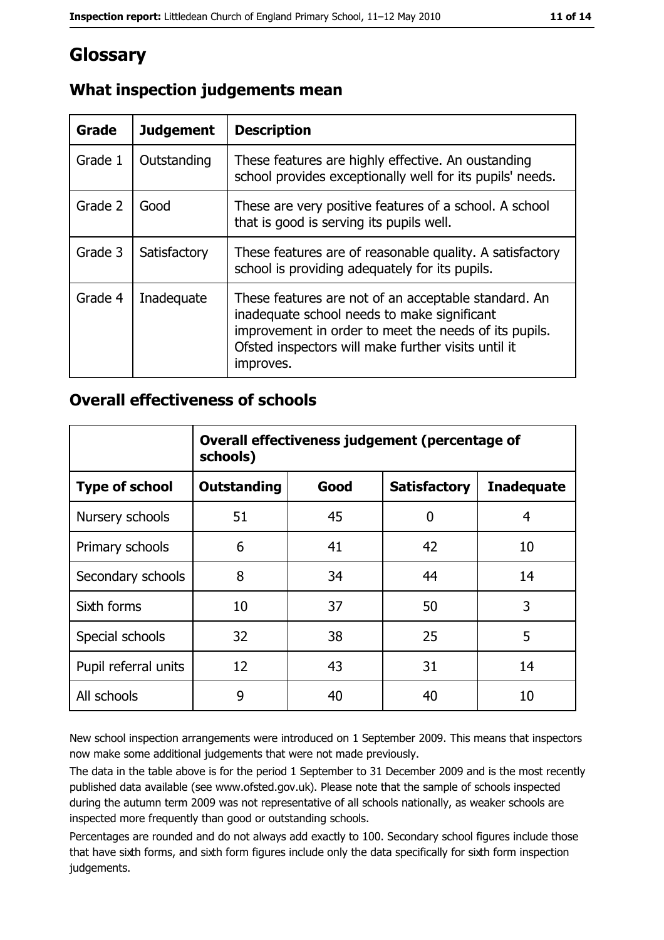# Glossary

| <b>Grade</b> | <b>Judgement</b> | <b>Description</b>                                                                                                                                                                                                               |
|--------------|------------------|----------------------------------------------------------------------------------------------------------------------------------------------------------------------------------------------------------------------------------|
| Grade 1      | Outstanding      | These features are highly effective. An oustanding<br>school provides exceptionally well for its pupils' needs.                                                                                                                  |
| Grade 2      | Good             | These are very positive features of a school. A school<br>that is good is serving its pupils well.                                                                                                                               |
| Grade 3      | Satisfactory     | These features are of reasonable quality. A satisfactory<br>school is providing adequately for its pupils.                                                                                                                       |
| Grade 4      | Inadequate       | These features are not of an acceptable standard. An<br>inadequate school needs to make significant<br>improvement in order to meet the needs of its pupils.<br>Ofsted inspectors will make further visits until it<br>improves. |

# What inspection judgements mean

### **Overall effectiveness of schools**

|                       | Overall effectiveness judgement (percentage of<br>schools) |      |                     |                   |
|-----------------------|------------------------------------------------------------|------|---------------------|-------------------|
| <b>Type of school</b> | <b>Outstanding</b>                                         | Good | <b>Satisfactory</b> | <b>Inadequate</b> |
| Nursery schools       | 51                                                         | 45   | 0                   | 4                 |
| Primary schools       | 6                                                          | 41   | 42                  | 10                |
| Secondary schools     | 8                                                          | 34   | 44                  | 14                |
| Sixth forms           | 10                                                         | 37   | 50                  | 3                 |
| Special schools       | 32                                                         | 38   | 25                  | 5                 |
| Pupil referral units  | 12                                                         | 43   | 31                  | 14                |
| All schools           | 9                                                          | 40   | 40                  | 10                |

New school inspection arrangements were introduced on 1 September 2009. This means that inspectors now make some additional judgements that were not made previously.

The data in the table above is for the period 1 September to 31 December 2009 and is the most recently published data available (see www.ofsted.gov.uk). Please note that the sample of schools inspected during the autumn term 2009 was not representative of all schools nationally, as weaker schools are inspected more frequently than good or outstanding schools.

Percentages are rounded and do not always add exactly to 100. Secondary school figures include those that have sixth forms, and sixth form figures include only the data specifically for sixth form inspection judgements.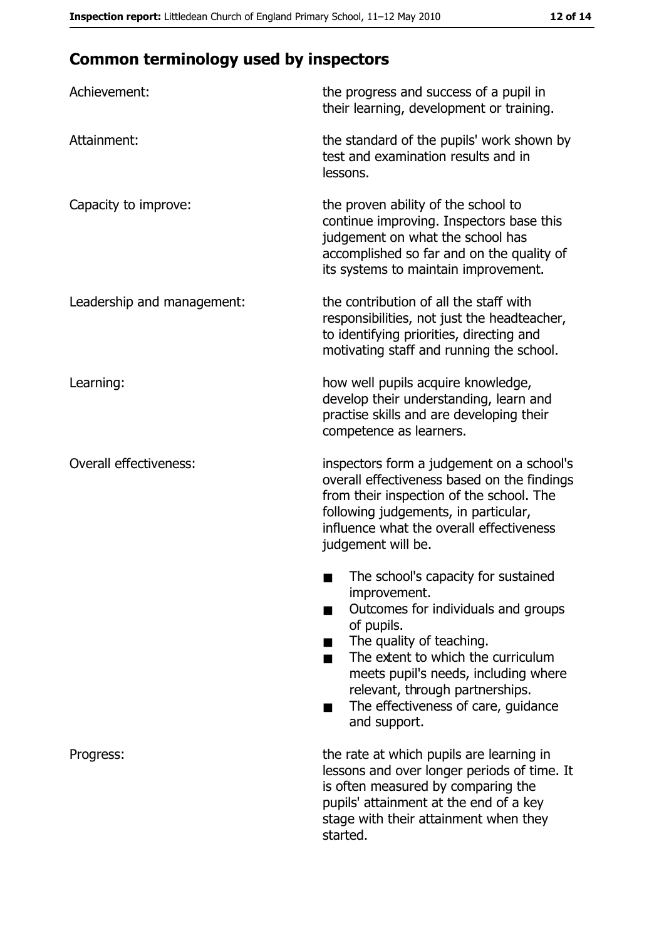# **Common terminology used by inspectors**

| Achievement:                  | the progress and success of a pupil in<br>their learning, development or training.                                                                                                                                                                                                                           |  |  |
|-------------------------------|--------------------------------------------------------------------------------------------------------------------------------------------------------------------------------------------------------------------------------------------------------------------------------------------------------------|--|--|
| Attainment:                   | the standard of the pupils' work shown by<br>test and examination results and in<br>lessons.                                                                                                                                                                                                                 |  |  |
| Capacity to improve:          | the proven ability of the school to<br>continue improving. Inspectors base this<br>judgement on what the school has<br>accomplished so far and on the quality of<br>its systems to maintain improvement.                                                                                                     |  |  |
| Leadership and management:    | the contribution of all the staff with<br>responsibilities, not just the headteacher,<br>to identifying priorities, directing and<br>motivating staff and running the school.                                                                                                                                |  |  |
| Learning:                     | how well pupils acquire knowledge,<br>develop their understanding, learn and<br>practise skills and are developing their<br>competence as learners.                                                                                                                                                          |  |  |
| <b>Overall effectiveness:</b> | inspectors form a judgement on a school's<br>overall effectiveness based on the findings<br>from their inspection of the school. The<br>following judgements, in particular,<br>influence what the overall effectiveness<br>judgement will be.                                                               |  |  |
|                               | The school's capacity for sustained<br>improvement.<br>Outcomes for individuals and groups<br>of pupils.<br>The quality of teaching.<br>The extent to which the curriculum<br>meets pupil's needs, including where<br>relevant, through partnerships.<br>The effectiveness of care, guidance<br>and support. |  |  |
| Progress:                     | the rate at which pupils are learning in<br>lessons and over longer periods of time. It<br>is often measured by comparing the<br>pupils' attainment at the end of a key<br>stage with their attainment when they<br>started.                                                                                 |  |  |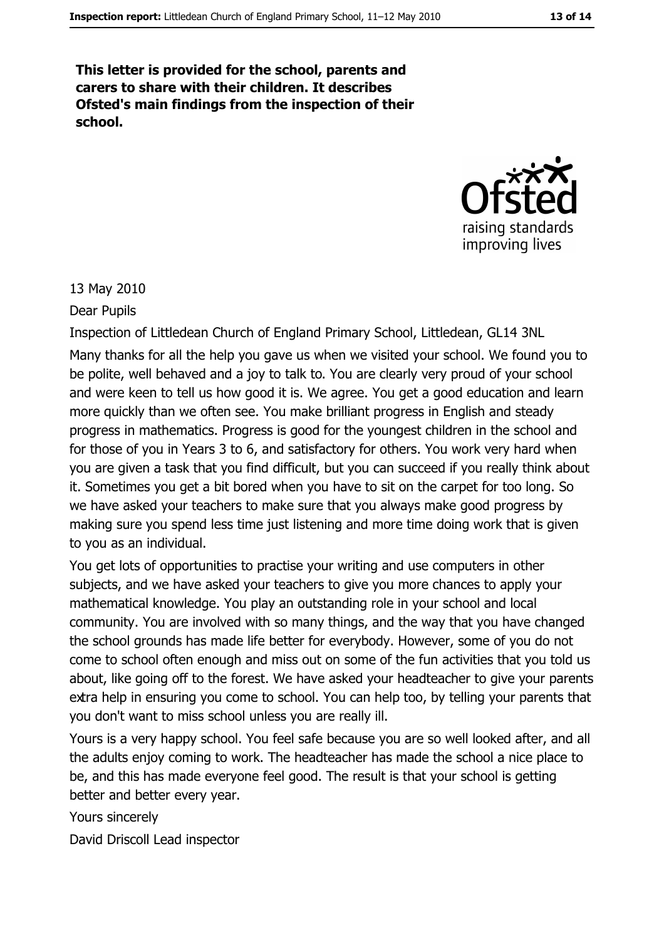This letter is provided for the school, parents and carers to share with their children. It describes Ofsted's main findings from the inspection of their school.



#### 13 May 2010

Dear Pupils

Inspection of Littledean Church of England Primary School, Littledean, GL14 3NL Many thanks for all the help you gave us when we visited your school. We found you to be polite, well behaved and a joy to talk to. You are clearly very proud of your school and were keen to tell us how good it is. We agree. You get a good education and learn more quickly than we often see. You make brilliant progress in English and steady progress in mathematics. Progress is good for the youngest children in the school and for those of you in Years 3 to 6, and satisfactory for others. You work very hard when you are given a task that you find difficult, but you can succeed if you really think about it. Sometimes you get a bit bored when you have to sit on the carpet for too long. So we have asked your teachers to make sure that you always make good progress by making sure you spend less time just listening and more time doing work that is given to you as an individual.

You get lots of opportunities to practise your writing and use computers in other subjects, and we have asked your teachers to give you more chances to apply your mathematical knowledge. You play an outstanding role in your school and local community. You are involved with so many things, and the way that you have changed the school grounds has made life better for everybody. However, some of you do not come to school often enough and miss out on some of the fun activities that you told us about, like going off to the forest. We have asked your headteacher to give your parents extra help in ensuring you come to school. You can help too, by telling your parents that you don't want to miss school unless you are really ill.

Yours is a very happy school. You feel safe because you are so well looked after, and all the adults enjoy coming to work. The headteacher has made the school a nice place to be, and this has made everyone feel good. The result is that your school is getting better and better every year.

Yours sincerely

David Driscoll Lead inspector